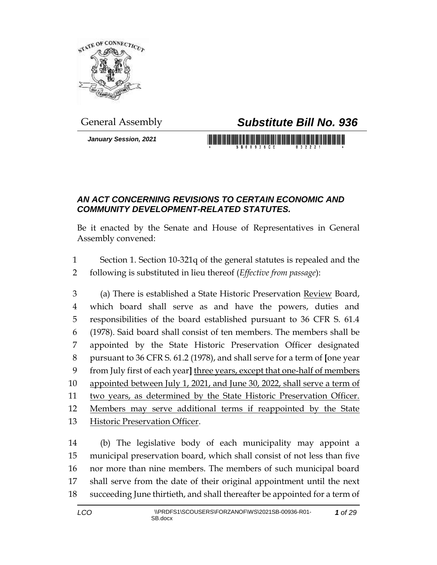

#### *January Session, 2021*

# General Assembly *Substitute Bill No. 936*

# <u> 1989 - An Dùbhlachd ann an Dùbhaidh ann an Dùbhaidh an Dùbhaidh an Dùbhlachd ann an Dùbhlachd ann an Dùbhlachd ann an Dùbhlachd ann an Dùbhlachd ann an Dùbhlachd ann an Dùbhlachd ann an Dùbhlachd ann an Dùbhlachd ann an </u>

### *AN ACT CONCERNING REVISIONS TO CERTAIN ECONOMIC AND COMMUNITY DEVELOPMENT-RELATED STATUTES.*

Be it enacted by the Senate and House of Representatives in General Assembly convened:

 Section 1. Section 10-321q of the general statutes is repealed and the following is substituted in lieu thereof (*Effective from passage*):

 (a) There is established a State Historic Preservation Review Board, which board shall serve as and have the powers, duties and responsibilities of the board established pursuant to 36 CFR S. 61.4 (1978). Said board shall consist of ten members. The members shall be appointed by the State Historic Preservation Officer designated pursuant to 36 CFR S. 61.2 (1978), and shall serve for a term of **[**one year from July first of each year**]** three years, except that one-half of members appointed between July 1, 2021, and June 30, 2022, shall serve a term of two years, as determined by the State Historic Preservation Officer. Members may serve additional terms if reappointed by the State Historic Preservation Officer.

 (b) The legislative body of each municipality may appoint a municipal preservation board, which shall consist of not less than five nor more than nine members. The members of such municipal board shall serve from the date of their original appointment until the next succeeding June thirtieth, and shall thereafter be appointed for a term of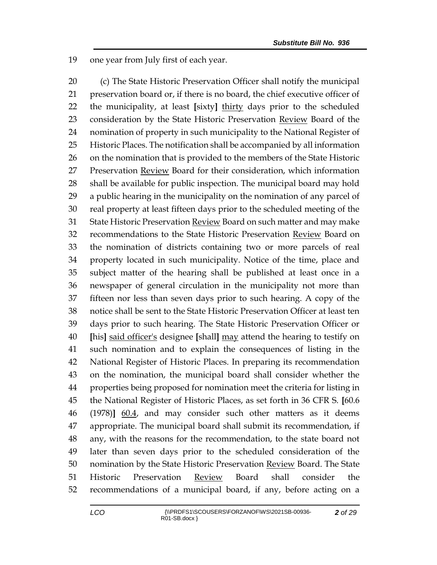one year from July first of each year.

 (c) The State Historic Preservation Officer shall notify the municipal preservation board or, if there is no board, the chief executive officer of the municipality, at least **[**sixty**]** thirty days prior to the scheduled 23 consideration by the State Historic Preservation Review Board of the nomination of property in such municipality to the National Register of Historic Places. The notification shall be accompanied by all information on the nomination that is provided to the members of the State Historic Preservation Review Board for their consideration, which information shall be available for public inspection. The municipal board may hold a public hearing in the municipality on the nomination of any parcel of real property at least fifteen days prior to the scheduled meeting of the 31 State Historic Preservation Review Board on such matter and may make 32 recommendations to the State Historic Preservation Review Board on the nomination of districts containing two or more parcels of real property located in such municipality. Notice of the time, place and subject matter of the hearing shall be published at least once in a newspaper of general circulation in the municipality not more than fifteen nor less than seven days prior to such hearing. A copy of the notice shall be sent to the State Historic Preservation Officer at least ten days prior to such hearing. The State Historic Preservation Officer or **[**his**]** said officer's designee **[**shall**]** may attend the hearing to testify on such nomination and to explain the consequences of listing in the National Register of Historic Places. In preparing its recommendation on the nomination, the municipal board shall consider whether the properties being proposed for nomination meet the criteria for listing in the National Register of Historic Places, as set forth in 36 CFR S. **[**60.6 (1978)**]** 60.4, and may consider such other matters as it deems appropriate. The municipal board shall submit its recommendation, if any, with the reasons for the recommendation, to the state board not later than seven days prior to the scheduled consideration of the 50 nomination by the State Historic Preservation Review Board. The State Historic Preservation Review Board shall consider the recommendations of a municipal board, if any, before acting on a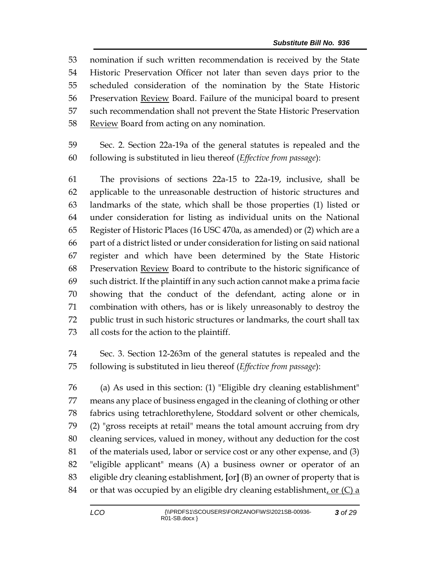nomination if such written recommendation is received by the State Historic Preservation Officer not later than seven days prior to the scheduled consideration of the nomination by the State Historic Preservation Review Board. Failure of the municipal board to present such recommendation shall not prevent the State Historic Preservation 58 Review Board from acting on any nomination.

 Sec. 2. Section 22a-19a of the general statutes is repealed and the following is substituted in lieu thereof (*Effective from passage*):

 The provisions of sections 22a-15 to 22a-19, inclusive, shall be applicable to the unreasonable destruction of historic structures and landmarks of the state, which shall be those properties (1) listed or under consideration for listing as individual units on the National Register of Historic Places (16 USC 470a, as amended) or (2) which are a part of a district listed or under consideration for listing on said national register and which have been determined by the State Historic 68 Preservation **Review** Board to contribute to the historic significance of such district. If the plaintiff in any such action cannot make a prima facie showing that the conduct of the defendant, acting alone or in combination with others, has or is likely unreasonably to destroy the public trust in such historic structures or landmarks, the court shall tax all costs for the action to the plaintiff.

 Sec. 3. Section 12-263m of the general statutes is repealed and the following is substituted in lieu thereof (*Effective from passage*):

 (a) As used in this section: (1) "Eligible dry cleaning establishment" means any place of business engaged in the cleaning of clothing or other fabrics using tetrachlorethylene, Stoddard solvent or other chemicals, (2) "gross receipts at retail" means the total amount accruing from dry cleaning services, valued in money, without any deduction for the cost of the materials used, labor or service cost or any other expense, and (3) "eligible applicant" means (A) a business owner or operator of an eligible dry cleaning establishment, **[**or**]** (B) an owner of property that is 84 or that was occupied by an eligible dry cleaning establishment, or  $(C)$  a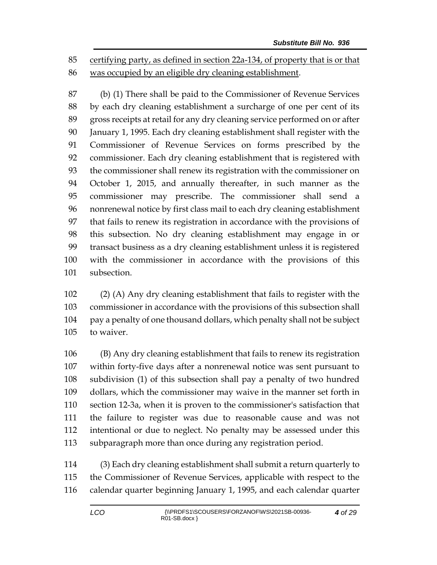certifying party, as defined in section 22a-134, of property that is or that was occupied by an eligible dry cleaning establishment.

 (b) (1) There shall be paid to the Commissioner of Revenue Services by each dry cleaning establishment a surcharge of one per cent of its gross receipts at retail for any dry cleaning service performed on or after January 1, 1995. Each dry cleaning establishment shall register with the Commissioner of Revenue Services on forms prescribed by the commissioner. Each dry cleaning establishment that is registered with the commissioner shall renew its registration with the commissioner on October 1, 2015, and annually thereafter, in such manner as the commissioner may prescribe. The commissioner shall send a nonrenewal notice by first class mail to each dry cleaning establishment that fails to renew its registration in accordance with the provisions of this subsection. No dry cleaning establishment may engage in or transact business as a dry cleaning establishment unless it is registered with the commissioner in accordance with the provisions of this subsection.

 (2) (A) Any dry cleaning establishment that fails to register with the commissioner in accordance with the provisions of this subsection shall pay a penalty of one thousand dollars, which penalty shall not be subject to waiver.

 (B) Any dry cleaning establishment that fails to renew its registration within forty-five days after a nonrenewal notice was sent pursuant to subdivision (1) of this subsection shall pay a penalty of two hundred dollars, which the commissioner may waive in the manner set forth in section 12-3a, when it is proven to the commissioner's satisfaction that the failure to register was due to reasonable cause and was not intentional or due to neglect. No penalty may be assessed under this subparagraph more than once during any registration period.

 (3) Each dry cleaning establishment shall submit a return quarterly to the Commissioner of Revenue Services, applicable with respect to the calendar quarter beginning January 1, 1995, and each calendar quarter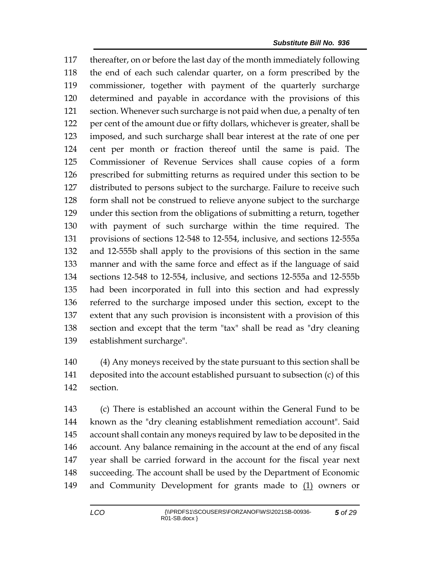thereafter, on or before the last day of the month immediately following the end of each such calendar quarter, on a form prescribed by the commissioner, together with payment of the quarterly surcharge determined and payable in accordance with the provisions of this section. Whenever such surcharge is not paid when due, a penalty of ten per cent of the amount due or fifty dollars, whichever is greater, shall be imposed, and such surcharge shall bear interest at the rate of one per cent per month or fraction thereof until the same is paid. The Commissioner of Revenue Services shall cause copies of a form prescribed for submitting returns as required under this section to be distributed to persons subject to the surcharge. Failure to receive such form shall not be construed to relieve anyone subject to the surcharge under this section from the obligations of submitting a return, together with payment of such surcharge within the time required. The provisions of sections 12-548 to 12-554, inclusive, and sections 12-555a and 12-555b shall apply to the provisions of this section in the same manner and with the same force and effect as if the language of said sections 12-548 to 12-554, inclusive, and sections 12-555a and 12-555b had been incorporated in full into this section and had expressly referred to the surcharge imposed under this section, except to the extent that any such provision is inconsistent with a provision of this section and except that the term "tax" shall be read as "dry cleaning establishment surcharge".

 (4) Any moneys received by the state pursuant to this section shall be deposited into the account established pursuant to subsection (c) of this section.

 (c) There is established an account within the General Fund to be known as the "dry cleaning establishment remediation account". Said account shall contain any moneys required by law to be deposited in the account. Any balance remaining in the account at the end of any fiscal year shall be carried forward in the account for the fiscal year next succeeding. The account shall be used by the Department of Economic 149 and Community Development for grants made to  $(1)$  owners or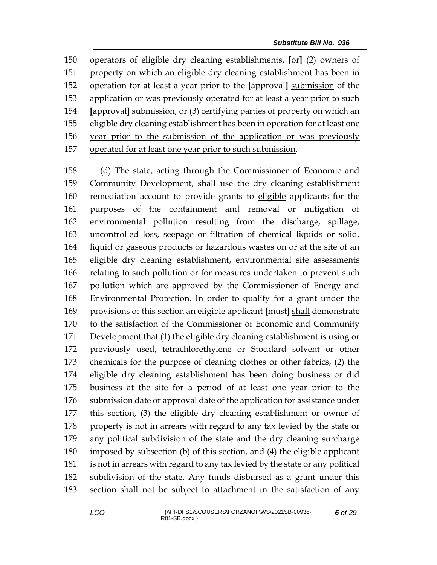operators of eligible dry cleaning establishments, **[**or**]** (2) owners of property on which an eligible dry cleaning establishment has been in operation for at least a year prior to the **[**approval**]** submission of the application or was previously operated for at least a year prior to such **[**approval**]** submission, or (3) certifying parties of property on which an eligible dry cleaning establishment has been in operation for at least one year prior to the submission of the application or was previously operated for at least one year prior to such submission.

 (d) The state, acting through the Commissioner of Economic and Community Development, shall use the dry cleaning establishment remediation account to provide grants to eligible applicants for the purposes of the containment and removal or mitigation of environmental pollution resulting from the discharge, spillage, uncontrolled loss, seepage or filtration of chemical liquids or solid, liquid or gaseous products or hazardous wastes on or at the site of an eligible dry cleaning establishment, environmental site assessments relating to such pollution or for measures undertaken to prevent such pollution which are approved by the Commissioner of Energy and Environmental Protection. In order to qualify for a grant under the provisions of this section an eligible applicant **[**must**]** shall demonstrate to the satisfaction of the Commissioner of Economic and Community Development that (1) the eligible dry cleaning establishment is using or previously used, tetrachlorethylene or Stoddard solvent or other chemicals for the purpose of cleaning clothes or other fabrics, (2) the eligible dry cleaning establishment has been doing business or did business at the site for a period of at least one year prior to the submission date or approval date of the application for assistance under this section, (3) the eligible dry cleaning establishment or owner of property is not in arrears with regard to any tax levied by the state or any political subdivision of the state and the dry cleaning surcharge imposed by subsection (b) of this section, and (4) the eligible applicant is not in arrears with regard to any tax levied by the state or any political subdivision of the state. Any funds disbursed as a grant under this section shall not be subject to attachment in the satisfaction of any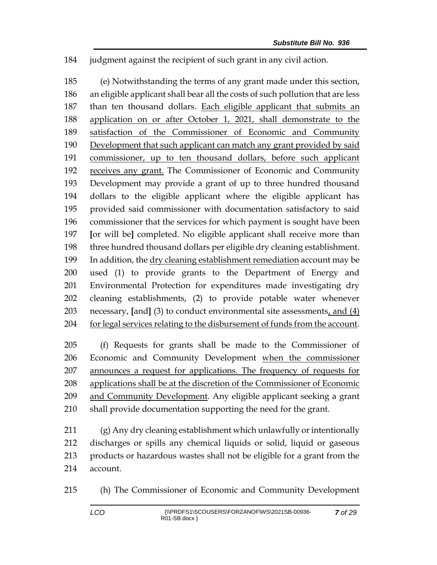judgment against the recipient of such grant in any civil action.

 (e) Notwithstanding the terms of any grant made under this section, an eligible applicant shall bear all the costs of such pollution that are less than ten thousand dollars. Each eligible applicant that submits an application on or after October 1, 2021, shall demonstrate to the satisfaction of the Commissioner of Economic and Community Development that such applicant can match any grant provided by said commissioner, up to ten thousand dollars, before such applicant receives any grant. The Commissioner of Economic and Community Development may provide a grant of up to three hundred thousand dollars to the eligible applicant where the eligible applicant has provided said commissioner with documentation satisfactory to said commissioner that the services for which payment is sought have been **[**or will be**]** completed. No eligible applicant shall receive more than three hundred thousand dollars per eligible dry cleaning establishment. In addition, the dry cleaning establishment remediation account may be used (1) to provide grants to the Department of Energy and Environmental Protection for expenditures made investigating dry cleaning establishments, (2) to provide potable water whenever necessary, **[**and**]** (3) to conduct environmental site assessments, and (4) for legal services relating to the disbursement of funds from the account.

 (f) Requests for grants shall be made to the Commissioner of Economic and Community Development when the commissioner announces a request for applications. The frequency of requests for applications shall be at the discretion of the Commissioner of Economic and Community Development. Any eligible applicant seeking a grant shall provide documentation supporting the need for the grant.

 (g) Any dry cleaning establishment which unlawfully or intentionally discharges or spills any chemical liquids or solid, liquid or gaseous products or hazardous wastes shall not be eligible for a grant from the account.

(h) The Commissioner of Economic and Community Development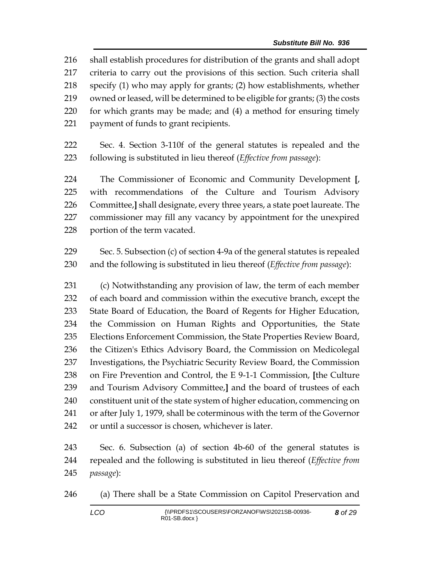shall establish procedures for distribution of the grants and shall adopt criteria to carry out the provisions of this section. Such criteria shall specify (1) who may apply for grants; (2) how establishments, whether owned or leased, will be determined to be eligible for grants; (3) the costs for which grants may be made; and (4) a method for ensuring timely payment of funds to grant recipients.

 Sec. 4. Section 3-110f of the general statutes is repealed and the following is substituted in lieu thereof (*Effective from passage*):

 The Commissioner of Economic and Community Development **[**, with recommendations of the Culture and Tourism Advisory Committee,**]** shall designate, every three years, a state poet laureate. The commissioner may fill any vacancy by appointment for the unexpired portion of the term vacated.

 Sec. 5. Subsection (c) of section 4-9a of the general statutes is repealed and the following is substituted in lieu thereof (*Effective from passage*):

 (c) Notwithstanding any provision of law, the term of each member of each board and commission within the executive branch, except the State Board of Education, the Board of Regents for Higher Education, the Commission on Human Rights and Opportunities, the State Elections Enforcement Commission, the State Properties Review Board, the Citizen's Ethics Advisory Board, the Commission on Medicolegal Investigations, the Psychiatric Security Review Board, the Commission on Fire Prevention and Control, the E 9-1-1 Commission, **[**the Culture and Tourism Advisory Committee,**]** and the board of trustees of each constituent unit of the state system of higher education, commencing on or after July 1, 1979, shall be coterminous with the term of the Governor or until a successor is chosen, whichever is later.

 Sec. 6. Subsection (a) of section 4b-60 of the general statutes is repealed and the following is substituted in lieu thereof (*Effective from passage*):

(a) There shall be a State Commission on Capitol Preservation and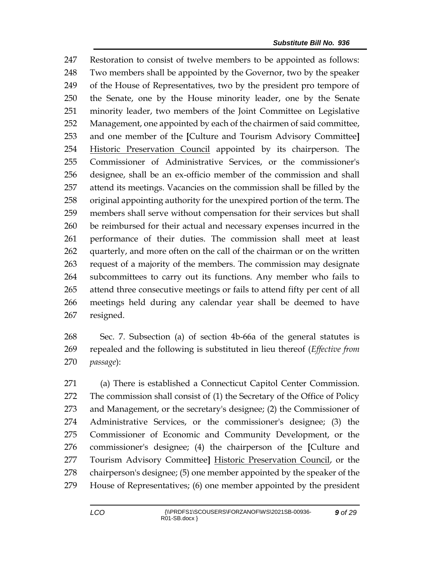Restoration to consist of twelve members to be appointed as follows: Two members shall be appointed by the Governor, two by the speaker of the House of Representatives, two by the president pro tempore of the Senate, one by the House minority leader, one by the Senate minority leader, two members of the Joint Committee on Legislative Management, one appointed by each of the chairmen of said committee, and one member of the **[**Culture and Tourism Advisory Committee**]** Historic Preservation Council appointed by its chairperson. The Commissioner of Administrative Services, or the commissioner's designee, shall be an ex-officio member of the commission and shall attend its meetings. Vacancies on the commission shall be filled by the original appointing authority for the unexpired portion of the term. The members shall serve without compensation for their services but shall be reimbursed for their actual and necessary expenses incurred in the performance of their duties. The commission shall meet at least 262 quarterly, and more often on the call of the chairman or on the written request of a majority of the members. The commission may designate subcommittees to carry out its functions. Any member who fails to attend three consecutive meetings or fails to attend fifty per cent of all meetings held during any calendar year shall be deemed to have resigned.

 Sec. 7. Subsection (a) of section 4b-66a of the general statutes is repealed and the following is substituted in lieu thereof (*Effective from passage*):

 (a) There is established a Connecticut Capitol Center Commission. The commission shall consist of (1) the Secretary of the Office of Policy and Management, or the secretary's designee; (2) the Commissioner of Administrative Services, or the commissioner's designee; (3) the Commissioner of Economic and Community Development, or the commissioner's designee; (4) the chairperson of the **[**Culture and Tourism Advisory Committee**]** Historic Preservation Council, or the chairperson's designee; (5) one member appointed by the speaker of the House of Representatives; (6) one member appointed by the president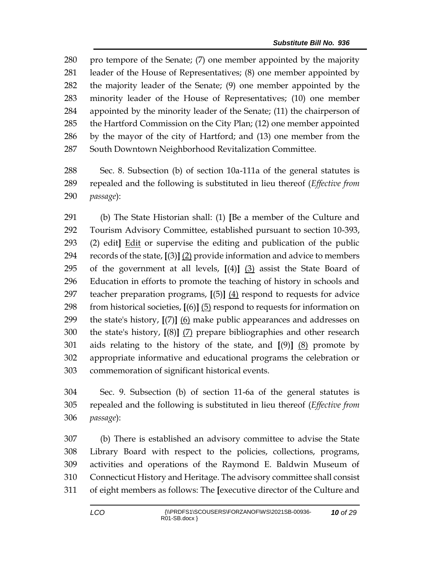pro tempore of the Senate; (7) one member appointed by the majority leader of the House of Representatives; (8) one member appointed by the majority leader of the Senate; (9) one member appointed by the minority leader of the House of Representatives; (10) one member appointed by the minority leader of the Senate; (11) the chairperson of the Hartford Commission on the City Plan; (12) one member appointed by the mayor of the city of Hartford; and (13) one member from the South Downtown Neighborhood Revitalization Committee.

 Sec. 8. Subsection (b) of section 10a-111a of the general statutes is repealed and the following is substituted in lieu thereof (*Effective from passage*):

 (b) The State Historian shall: (1) **[**Be a member of the Culture and Tourism Advisory Committee, established pursuant to section 10-393, (2) edit**]** Edit or supervise the editing and publication of the public records of the state, **[**(3)**]** (2) provide information and advice to members of the government at all levels, **[**(4)**]** (3) assist the State Board of Education in efforts to promote the teaching of history in schools and teacher preparation programs, **[**(5)**]** (4) respond to requests for advice from historical societies, **[**(6)**]** (5) respond to requests for information on the state's history, **[**(7)**]** (6) make public appearances and addresses on the state's history, **[**(8)**]** (7) prepare bibliographies and other research aids relating to the history of the state, and **[**(9)**]** (8) promote by appropriate informative and educational programs the celebration or commemoration of significant historical events.

 Sec. 9. Subsection (b) of section 11-6a of the general statutes is repealed and the following is substituted in lieu thereof (*Effective from passage*):

 (b) There is established an advisory committee to advise the State Library Board with respect to the policies, collections, programs, activities and operations of the Raymond E. Baldwin Museum of Connecticut History and Heritage. The advisory committee shall consist of eight members as follows: The **[**executive director of the Culture and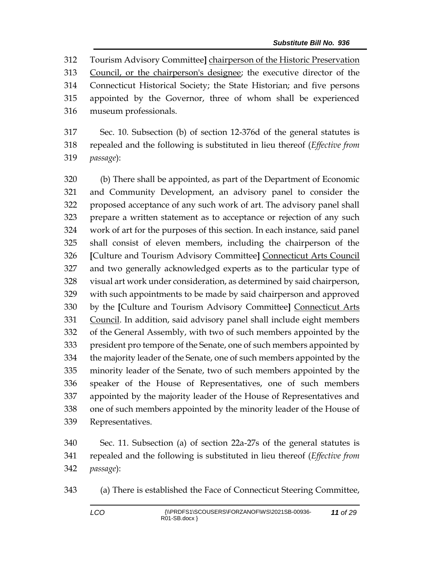Tourism Advisory Committee**]** chairperson of the Historic Preservation Council, or the chairperson's designee; the executive director of the Connecticut Historical Society; the State Historian; and five persons appointed by the Governor, three of whom shall be experienced museum professionals.

 Sec. 10. Subsection (b) of section 12-376d of the general statutes is repealed and the following is substituted in lieu thereof (*Effective from passage*):

 (b) There shall be appointed, as part of the Department of Economic and Community Development, an advisory panel to consider the proposed acceptance of any such work of art. The advisory panel shall prepare a written statement as to acceptance or rejection of any such work of art for the purposes of this section. In each instance, said panel shall consist of eleven members, including the chairperson of the **[**Culture and Tourism Advisory Committee**]** Connecticut Arts Council and two generally acknowledged experts as to the particular type of visual art work under consideration, as determined by said chairperson, with such appointments to be made by said chairperson and approved by the **[**Culture and Tourism Advisory Committee**]** Connecticut Arts Council. In addition, said advisory panel shall include eight members of the General Assembly, with two of such members appointed by the president pro tempore of the Senate, one of such members appointed by the majority leader of the Senate, one of such members appointed by the minority leader of the Senate, two of such members appointed by the speaker of the House of Representatives, one of such members appointed by the majority leader of the House of Representatives and one of such members appointed by the minority leader of the House of Representatives.

 Sec. 11. Subsection (a) of section 22a-27s of the general statutes is repealed and the following is substituted in lieu thereof (*Effective from passage*):

(a) There is established the Face of Connecticut Steering Committee,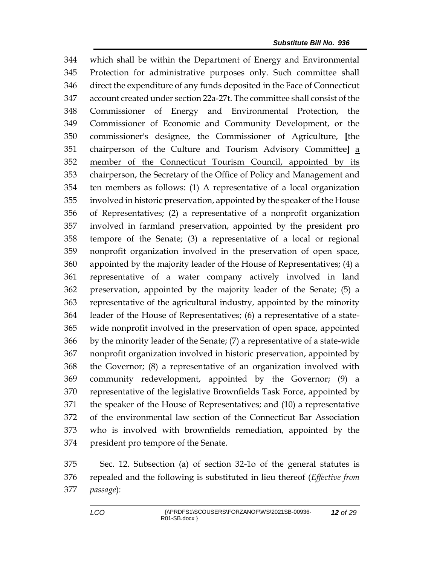which shall be within the Department of Energy and Environmental Protection for administrative purposes only. Such committee shall direct the expenditure of any funds deposited in the Face of Connecticut account created under section 22a-27t. The committee shall consist of the Commissioner of Energy and Environmental Protection, the Commissioner of Economic and Community Development, or the commissioner's designee, the Commissioner of Agriculture, **[**the chairperson of the Culture and Tourism Advisory Committee**]** a member of the Connecticut Tourism Council, appointed by its chairperson, the Secretary of the Office of Policy and Management and ten members as follows: (1) A representative of a local organization involved in historic preservation, appointed by the speaker of the House of Representatives; (2) a representative of a nonprofit organization involved in farmland preservation, appointed by the president pro tempore of the Senate; (3) a representative of a local or regional nonprofit organization involved in the preservation of open space, appointed by the majority leader of the House of Representatives; (4) a representative of a water company actively involved in land preservation, appointed by the majority leader of the Senate; (5) a representative of the agricultural industry, appointed by the minority leader of the House of Representatives; (6) a representative of a state- wide nonprofit involved in the preservation of open space, appointed by the minority leader of the Senate; (7) a representative of a state-wide nonprofit organization involved in historic preservation, appointed by the Governor; (8) a representative of an organization involved with community redevelopment, appointed by the Governor; (9) a representative of the legislative Brownfields Task Force, appointed by the speaker of the House of Representatives; and (10) a representative of the environmental law section of the Connecticut Bar Association who is involved with brownfields remediation, appointed by the president pro tempore of the Senate.

 Sec. 12. Subsection (a) of section 32-1o of the general statutes is repealed and the following is substituted in lieu thereof (*Effective from passage*):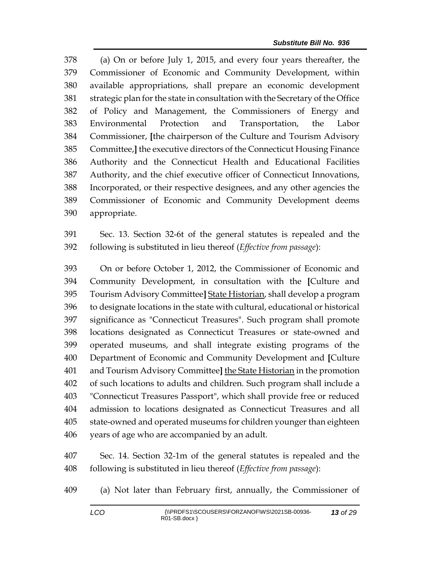(a) On or before July 1, 2015, and every four years thereafter, the Commissioner of Economic and Community Development, within available appropriations, shall prepare an economic development strategic plan for the state in consultation with the Secretary of the Office of Policy and Management, the Commissioners of Energy and Environmental Protection and Transportation, the Labor Commissioner, **[**the chairperson of the Culture and Tourism Advisory Committee,**]** the executive directors of the Connecticut Housing Finance Authority and the Connecticut Health and Educational Facilities Authority, and the chief executive officer of Connecticut Innovations, Incorporated, or their respective designees, and any other agencies the Commissioner of Economic and Community Development deems appropriate.

 Sec. 13. Section 32-6t of the general statutes is repealed and the following is substituted in lieu thereof (*Effective from passage*):

 On or before October 1, 2012, the Commissioner of Economic and Community Development, in consultation with the **[**Culture and Tourism Advisory Committee**]** State Historian, shall develop a program to designate locations in the state with cultural, educational or historical significance as "Connecticut Treasures". Such program shall promote locations designated as Connecticut Treasures or state-owned and operated museums, and shall integrate existing programs of the Department of Economic and Community Development and **[**Culture and Tourism Advisory Committee**]** the State Historian in the promotion of such locations to adults and children. Such program shall include a "Connecticut Treasures Passport", which shall provide free or reduced admission to locations designated as Connecticut Treasures and all state-owned and operated museums for children younger than eighteen years of age who are accompanied by an adult.

 Sec. 14. Section 32-1m of the general statutes is repealed and the following is substituted in lieu thereof (*Effective from passage*):

(a) Not later than February first, annually, the Commissioner of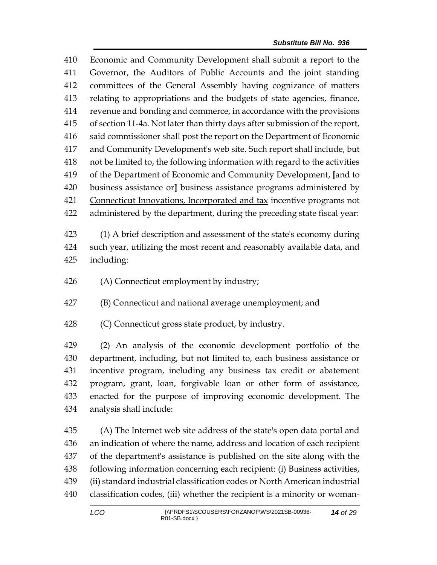Economic and Community Development shall submit a report to the Governor, the Auditors of Public Accounts and the joint standing committees of the General Assembly having cognizance of matters relating to appropriations and the budgets of state agencies, finance, revenue and bonding and commerce, in accordance with the provisions of section 11-4a. Not later than thirty days after submission of the report, said commissioner shall post the report on the Department of Economic and Community Development's web site. Such report shall include, but not be limited to, the following information with regard to the activities of the Department of Economic and Community Development, **[**and to business assistance or**]** business assistance programs administered by Connecticut Innovations, Incorporated and tax incentive programs not administered by the department, during the preceding state fiscal year:

 (1) A brief description and assessment of the state's economy during such year, utilizing the most recent and reasonably available data, and including:

- (A) Connecticut employment by industry;
- (B) Connecticut and national average unemployment; and
- (C) Connecticut gross state product, by industry.

 (2) An analysis of the economic development portfolio of the department, including, but not limited to, each business assistance or incentive program, including any business tax credit or abatement program, grant, loan, forgivable loan or other form of assistance, enacted for the purpose of improving economic development. The analysis shall include:

 (A) The Internet web site address of the state's open data portal and an indication of where the name, address and location of each recipient of the department's assistance is published on the site along with the following information concerning each recipient: (i) Business activities, (ii) standard industrial classification codes or North American industrial classification codes, (iii) whether the recipient is a minority or woman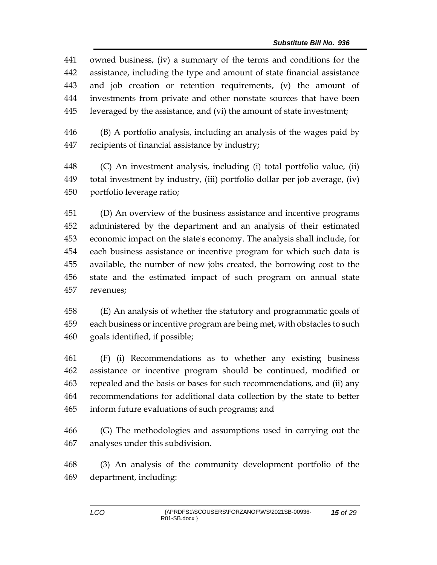owned business, (iv) a summary of the terms and conditions for the assistance, including the type and amount of state financial assistance and job creation or retention requirements, (v) the amount of investments from private and other nonstate sources that have been leveraged by the assistance, and (vi) the amount of state investment;

 (B) A portfolio analysis, including an analysis of the wages paid by recipients of financial assistance by industry;

 (C) An investment analysis, including (i) total portfolio value, (ii) total investment by industry, (iii) portfolio dollar per job average, (iv) portfolio leverage ratio;

 (D) An overview of the business assistance and incentive programs administered by the department and an analysis of their estimated economic impact on the state's economy. The analysis shall include, for each business assistance or incentive program for which such data is available, the number of new jobs created, the borrowing cost to the state and the estimated impact of such program on annual state revenues;

 (E) An analysis of whether the statutory and programmatic goals of each business or incentive program are being met, with obstacles to such goals identified, if possible;

 (F) (i) Recommendations as to whether any existing business assistance or incentive program should be continued, modified or repealed and the basis or bases for such recommendations, and (ii) any recommendations for additional data collection by the state to better inform future evaluations of such programs; and

 (G) The methodologies and assumptions used in carrying out the analyses under this subdivision.

 (3) An analysis of the community development portfolio of the department, including: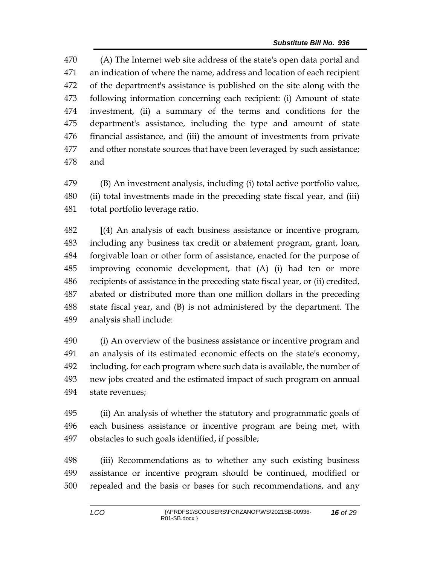(A) The Internet web site address of the state's open data portal and an indication of where the name, address and location of each recipient of the department's assistance is published on the site along with the following information concerning each recipient: (i) Amount of state investment, (ii) a summary of the terms and conditions for the department's assistance, including the type and amount of state financial assistance, and (iii) the amount of investments from private and other nonstate sources that have been leveraged by such assistance; and

 (B) An investment analysis, including (i) total active portfolio value, (ii) total investments made in the preceding state fiscal year, and (iii) total portfolio leverage ratio.

 **[**(4) An analysis of each business assistance or incentive program, including any business tax credit or abatement program, grant, loan, forgivable loan or other form of assistance, enacted for the purpose of improving economic development, that (A) (i) had ten or more recipients of assistance in the preceding state fiscal year, or (ii) credited, abated or distributed more than one million dollars in the preceding state fiscal year, and (B) is not administered by the department. The analysis shall include:

 (i) An overview of the business assistance or incentive program and an analysis of its estimated economic effects on the state's economy, including, for each program where such data is available, the number of new jobs created and the estimated impact of such program on annual state revenues;

 (ii) An analysis of whether the statutory and programmatic goals of each business assistance or incentive program are being met, with obstacles to such goals identified, if possible;

 (iii) Recommendations as to whether any such existing business assistance or incentive program should be continued, modified or repealed and the basis or bases for such recommendations, and any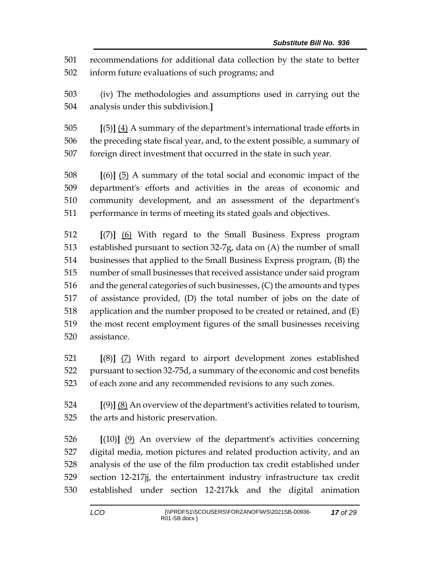recommendations for additional data collection by the state to better inform future evaluations of such programs; and

 (iv) The methodologies and assumptions used in carrying out the analysis under this subdivision.**]**

 **[**(5)**]** (4) A summary of the department's international trade efforts in the preceding state fiscal year, and, to the extent possible, a summary of foreign direct investment that occurred in the state in such year.

 **[**(6)**]** (5) A summary of the total social and economic impact of the department's efforts and activities in the areas of economic and community development, and an assessment of the department's performance in terms of meeting its stated goals and objectives.

 **[**(7)**]** (6) With regard to the Small Business Express program established pursuant to section 32-7g, data on (A) the number of small businesses that applied to the Small Business Express program, (B) the number of small businesses that received assistance under said program and the general categories of such businesses, (C) the amounts and types of assistance provided, (D) the total number of jobs on the date of application and the number proposed to be created or retained, and (E) the most recent employment figures of the small businesses receiving assistance.

 **[**(8)**]** (7) With regard to airport development zones established pursuant to section 32-75d, a summary of the economic and cost benefits of each zone and any recommended revisions to any such zones.

 **[**(9)**]** (8) An overview of the department's activities related to tourism, the arts and historic preservation.

 **[**(10)**]** (9) An overview of the department's activities concerning digital media, motion pictures and related production activity, and an analysis of the use of the film production tax credit established under section 12-217jj, the entertainment industry infrastructure tax credit established under section 12-217kk and the digital animation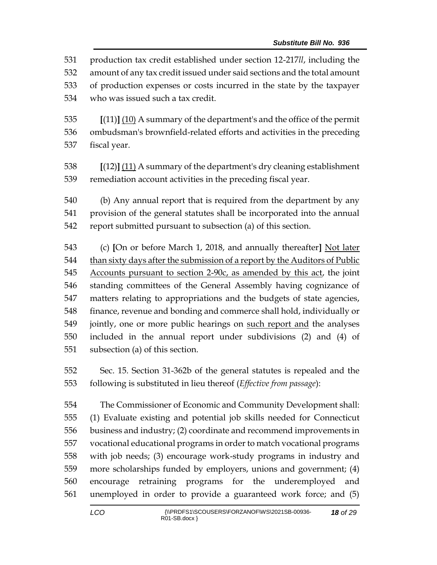production tax credit established under section 12-217*ll*, including the amount of any tax credit issued under said sections and the total amount of production expenses or costs incurred in the state by the taxpayer who was issued such a tax credit. **[**(11)**]** (10) A summary of the department's and the office of the permit ombudsman's brownfield-related efforts and activities in the preceding fiscal year. **[**(12)**]** (11) A summary of the department's dry cleaning establishment remediation account activities in the preceding fiscal year. (b) Any annual report that is required from the department by any provision of the general statutes shall be incorporated into the annual report submitted pursuant to subsection (a) of this section. (c) **[**On or before March 1, 2018, and annually thereafter**]** Not later than sixty days after the submission of a report by the Auditors of Public Accounts pursuant to section 2-90c, as amended by this act, the joint

 standing committees of the General Assembly having cognizance of matters relating to appropriations and the budgets of state agencies, finance, revenue and bonding and commerce shall hold, individually or jointly, one or more public hearings on such report and the analyses included in the annual report under subdivisions (2) and (4) of subsection (a) of this section.

 Sec. 15. Section 31-362b of the general statutes is repealed and the following is substituted in lieu thereof (*Effective from passage*):

 The Commissioner of Economic and Community Development shall: (1) Evaluate existing and potential job skills needed for Connecticut business and industry; (2) coordinate and recommend improvements in vocational educational programs in order to match vocational programs with job needs; (3) encourage work-study programs in industry and more scholarships funded by employers, unions and government; (4) encourage retraining programs for the underemployed and unemployed in order to provide a guaranteed work force; and (5)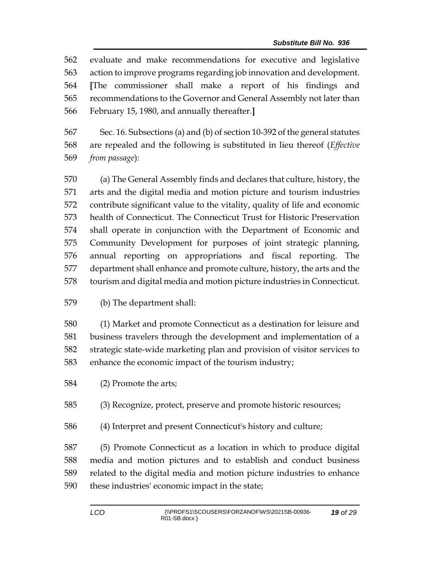evaluate and make recommendations for executive and legislative action to improve programs regarding job innovation and development. **[**The commissioner shall make a report of his findings and recommendations to the Governor and General Assembly not later than February 15, 1980, and annually thereafter.**]**

 Sec. 16. Subsections (a) and (b) of section 10-392 of the general statutes are repealed and the following is substituted in lieu thereof (*Effective from passage*):

 (a) The General Assembly finds and declares that culture, history, the arts and the digital media and motion picture and tourism industries contribute significant value to the vitality, quality of life and economic health of Connecticut. The Connecticut Trust for Historic Preservation shall operate in conjunction with the Department of Economic and Community Development for purposes of joint strategic planning, annual reporting on appropriations and fiscal reporting. The department shall enhance and promote culture, history, the arts and the tourism and digital media and motion picture industries in Connecticut.

## (b) The department shall:

 (1) Market and promote Connecticut as a destination for leisure and business travelers through the development and implementation of a strategic state-wide marketing plan and provision of visitor services to enhance the economic impact of the tourism industry;

(2) Promote the arts;

(3) Recognize, protect, preserve and promote historic resources;

(4) Interpret and present Connecticut's history and culture;

 (5) Promote Connecticut as a location in which to produce digital media and motion pictures and to establish and conduct business related to the digital media and motion picture industries to enhance these industries' economic impact in the state;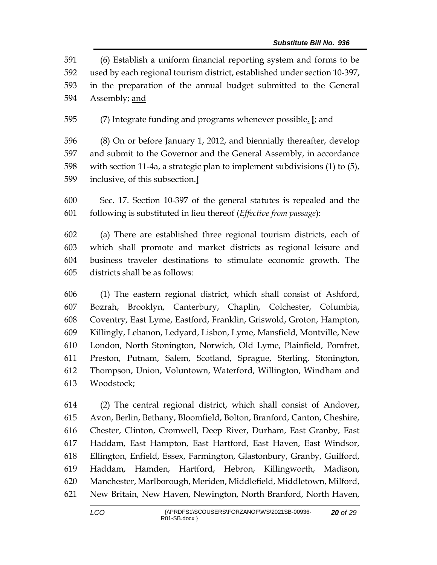(6) Establish a uniform financial reporting system and forms to be used by each regional tourism district, established under section 10-397, in the preparation of the annual budget submitted to the General Assembly; and

(7) Integrate funding and programs whenever possible. **[**; and

 (8) On or before January 1, 2012, and biennially thereafter, develop and submit to the Governor and the General Assembly, in accordance with section 11-4a, a strategic plan to implement subdivisions (1) to (5), inclusive, of this subsection.**]**

 Sec. 17. Section 10-397 of the general statutes is repealed and the following is substituted in lieu thereof (*Effective from passage*):

 (a) There are established three regional tourism districts, each of which shall promote and market districts as regional leisure and business traveler destinations to stimulate economic growth. The districts shall be as follows:

 (1) The eastern regional district, which shall consist of Ashford, Bozrah, Brooklyn, Canterbury, Chaplin, Colchester, Columbia, Coventry, East Lyme, Eastford, Franklin, Griswold, Groton, Hampton, Killingly, Lebanon, Ledyard, Lisbon, Lyme, Mansfield, Montville, New London, North Stonington, Norwich, Old Lyme, Plainfield, Pomfret, Preston, Putnam, Salem, Scotland, Sprague, Sterling, Stonington, Thompson, Union, Voluntown, Waterford, Willington, Windham and Woodstock;

 (2) The central regional district, which shall consist of Andover, Avon, Berlin, Bethany, Bloomfield, Bolton, Branford, Canton, Cheshire, Chester, Clinton, Cromwell, Deep River, Durham, East Granby, East Haddam, East Hampton, East Hartford, East Haven, East Windsor, Ellington, Enfield, Essex, Farmington, Glastonbury, Granby, Guilford, Haddam, Hamden, Hartford, Hebron, Killingworth, Madison, Manchester, Marlborough, Meriden, Middlefield, Middletown, Milford, New Britain, New Haven, Newington, North Branford, North Haven,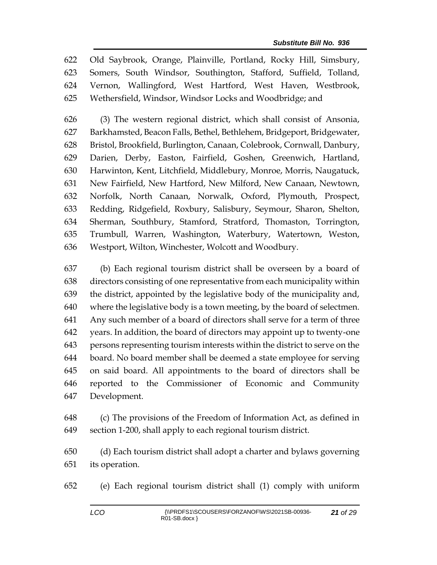Old Saybrook, Orange, Plainville, Portland, Rocky Hill, Simsbury, Somers, South Windsor, Southington, Stafford, Suffield, Tolland, Vernon, Wallingford, West Hartford, West Haven, Westbrook, Wethersfield, Windsor, Windsor Locks and Woodbridge; and

 (3) The western regional district, which shall consist of Ansonia, Barkhamsted, Beacon Falls, Bethel, Bethlehem, Bridgeport, Bridgewater, Bristol, Brookfield, Burlington, Canaan, Colebrook, Cornwall, Danbury, Darien, Derby, Easton, Fairfield, Goshen, Greenwich, Hartland, Harwinton, Kent, Litchfield, Middlebury, Monroe, Morris, Naugatuck, New Fairfield, New Hartford, New Milford, New Canaan, Newtown, Norfolk, North Canaan, Norwalk, Oxford, Plymouth, Prospect, Redding, Ridgefield, Roxbury, Salisbury, Seymour, Sharon, Shelton, Sherman, Southbury, Stamford, Stratford, Thomaston, Torrington, Trumbull, Warren, Washington, Waterbury, Watertown, Weston, Westport, Wilton, Winchester, Wolcott and Woodbury.

 (b) Each regional tourism district shall be overseen by a board of directors consisting of one representative from each municipality within the district, appointed by the legislative body of the municipality and, where the legislative body is a town meeting, by the board of selectmen. Any such member of a board of directors shall serve for a term of three years. In addition, the board of directors may appoint up to twenty-one persons representing tourism interests within the district to serve on the board. No board member shall be deemed a state employee for serving on said board. All appointments to the board of directors shall be reported to the Commissioner of Economic and Community Development.

 (c) The provisions of the Freedom of Information Act, as defined in section 1-200, shall apply to each regional tourism district.

 (d) Each tourism district shall adopt a charter and bylaws governing its operation.

(e) Each regional tourism district shall (1) comply with uniform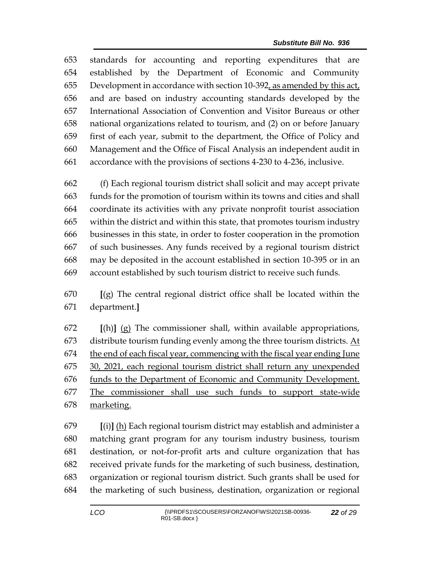standards for accounting and reporting expenditures that are established by the Department of Economic and Community Development in accordance with section 10-392, as amended by this act, and are based on industry accounting standards developed by the International Association of Convention and Visitor Bureaus or other national organizations related to tourism, and (2) on or before January first of each year, submit to the department, the Office of Policy and Management and the Office of Fiscal Analysis an independent audit in accordance with the provisions of sections 4-230 to 4-236, inclusive.

 (f) Each regional tourism district shall solicit and may accept private funds for the promotion of tourism within its towns and cities and shall coordinate its activities with any private nonprofit tourist association within the district and within this state, that promotes tourism industry businesses in this state, in order to foster cooperation in the promotion of such businesses. Any funds received by a regional tourism district may be deposited in the account established in section 10-395 or in an account established by such tourism district to receive such funds.

 **[**(g) The central regional district office shall be located within the department.**]**

 **[**(h)**]** (g) The commissioner shall, within available appropriations, 673 distribute tourism funding evenly among the three tourism districts.  $\Delta t$  the end of each fiscal year, commencing with the fiscal year ending June 30, 2021, each regional tourism district shall return any unexpended funds to the Department of Economic and Community Development. The commissioner shall use such funds to support state-wide 678 marketing.

 **[**(i)**]** (h) Each regional tourism district may establish and administer a matching grant program for any tourism industry business, tourism destination, or not-for-profit arts and culture organization that has received private funds for the marketing of such business, destination, organization or regional tourism district. Such grants shall be used for the marketing of such business, destination, organization or regional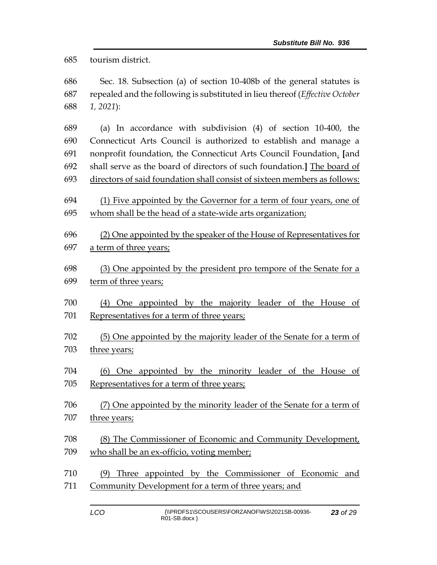tourism district.

 Sec. 18. Subsection (a) of section 10-408b of the general statutes is repealed and the following is substituted in lieu thereof (*Effective October 1, 2021*):

 (a) In accordance with subdivision (4) of section 10-400, the Connecticut Arts Council is authorized to establish and manage a nonprofit foundation, the Connecticut Arts Council Foundation. **[**and shall serve as the board of directors of such foundation.**]** The board of directors of said foundation shall consist of sixteen members as follows:

 (1) Five appointed by the Governor for a term of four years, one of whom shall be the head of a state-wide arts organization;

 (2) One appointed by the speaker of the House of Representatives for a term of three years;

 (3) One appointed by the president pro tempore of the Senate for a term of three years;

- (4) One appointed by the majority leader of the House of Representatives for a term of three years;
- (5) One appointed by the majority leader of the Senate for a term of three years;
- (6) One appointed by the minority leader of the House of Representatives for a term of three years;
- (7) One appointed by the minority leader of the Senate for a term of 707 three years;
- (8) The Commissioner of Economic and Community Development, 709 who shall be an ex-officio, voting member;
- (9) Three appointed by the Commissioner of Economic and Community Development for a term of three years; and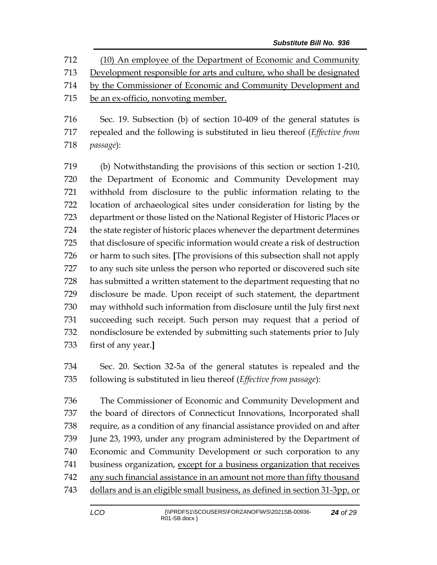(10) An employee of the Department of Economic and Community Development responsible for arts and culture, who shall be designated by the Commissioner of Economic and Community Development and be an ex-officio, nonvoting member.

 Sec. 19. Subsection (b) of section 10-409 of the general statutes is repealed and the following is substituted in lieu thereof (*Effective from passage*):

 (b) Notwithstanding the provisions of this section or section 1-210, the Department of Economic and Community Development may withhold from disclosure to the public information relating to the location of archaeological sites under consideration for listing by the department or those listed on the National Register of Historic Places or the state register of historic places whenever the department determines that disclosure of specific information would create a risk of destruction or harm to such sites. **[**The provisions of this subsection shall not apply to any such site unless the person who reported or discovered such site has submitted a written statement to the department requesting that no disclosure be made. Upon receipt of such statement, the department may withhold such information from disclosure until the July first next succeeding such receipt. Such person may request that a period of nondisclosure be extended by submitting such statements prior to July first of any year.**]**

 Sec. 20. Section 32-5a of the general statutes is repealed and the following is substituted in lieu thereof (*Effective from passage*):

 The Commissioner of Economic and Community Development and the board of directors of Connecticut Innovations, Incorporated shall require, as a condition of any financial assistance provided on and after June 23, 1993, under any program administered by the Department of Economic and Community Development or such corporation to any 741 business organization, except for a business organization that receives any such financial assistance in an amount not more than fifty thousand dollars and is an eligible small business, as defined in section 31-3pp, or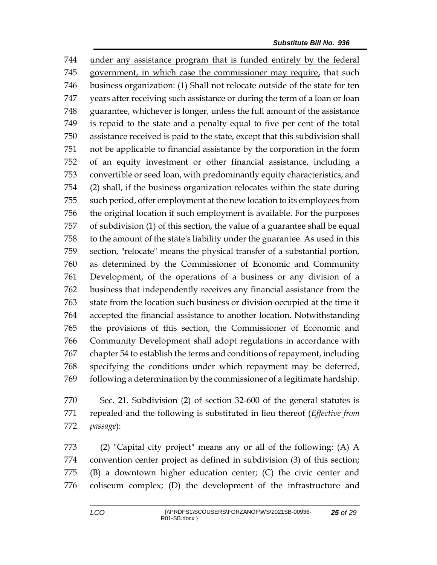under any assistance program that is funded entirely by the federal government, in which case the commissioner may require, that such business organization: (1) Shall not relocate outside of the state for ten years after receiving such assistance or during the term of a loan or loan guarantee, whichever is longer, unless the full amount of the assistance is repaid to the state and a penalty equal to five per cent of the total assistance received is paid to the state, except that this subdivision shall not be applicable to financial assistance by the corporation in the form of an equity investment or other financial assistance, including a convertible or seed loan, with predominantly equity characteristics, and (2) shall, if the business organization relocates within the state during such period, offer employment at the new location to its employees from the original location if such employment is available. For the purposes of subdivision (1) of this section, the value of a guarantee shall be equal to the amount of the state's liability under the guarantee. As used in this section, "relocate" means the physical transfer of a substantial portion, as determined by the Commissioner of Economic and Community Development, of the operations of a business or any division of a business that independently receives any financial assistance from the state from the location such business or division occupied at the time it accepted the financial assistance to another location. Notwithstanding the provisions of this section, the Commissioner of Economic and Community Development shall adopt regulations in accordance with chapter 54 to establish the terms and conditions of repayment, including specifying the conditions under which repayment may be deferred, following a determination by the commissioner of a legitimate hardship.

 Sec. 21. Subdivision (2) of section 32-600 of the general statutes is repealed and the following is substituted in lieu thereof (*Effective from passage*):

 (2) "Capital city project" means any or all of the following: (A) A convention center project as defined in subdivision (3) of this section; (B) a downtown higher education center; (C) the civic center and coliseum complex; (D) the development of the infrastructure and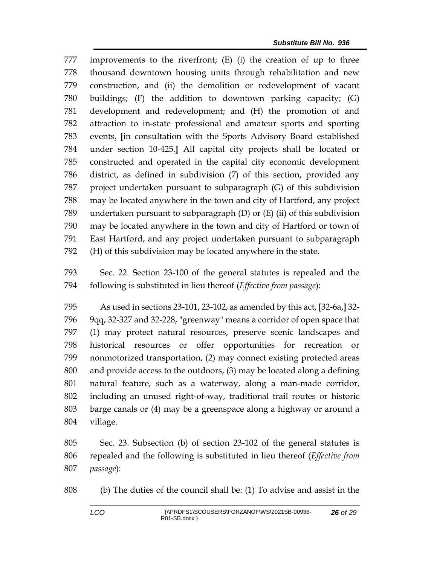improvements to the riverfront; (E) (i) the creation of up to three thousand downtown housing units through rehabilitation and new construction, and (ii) the demolition or redevelopment of vacant buildings; (F) the addition to downtown parking capacity; (G) development and redevelopment; and (H) the promotion of and attraction to in-state professional and amateur sports and sporting events. **[**in consultation with the Sports Advisory Board established under section 10-425.**]** All capital city projects shall be located or constructed and operated in the capital city economic development district, as defined in subdivision (7) of this section, provided any project undertaken pursuant to subparagraph (G) of this subdivision may be located anywhere in the town and city of Hartford, any project undertaken pursuant to subparagraph (D) or (E) (ii) of this subdivision may be located anywhere in the town and city of Hartford or town of East Hartford, and any project undertaken pursuant to subparagraph (H) of this subdivision may be located anywhere in the state.

 Sec. 22. Section 23-100 of the general statutes is repealed and the following is substituted in lieu thereof (*Effective from passage*):

 As used in sections 23-101, 23-102, as amended by this act, **[**32-6a,**]** 32- 9qq, 32-327 and 32-228, "greenway" means a corridor of open space that (1) may protect natural resources, preserve scenic landscapes and historical resources or offer opportunities for recreation or nonmotorized transportation, (2) may connect existing protected areas and provide access to the outdoors, (3) may be located along a defining natural feature, such as a waterway, along a man-made corridor, including an unused right-of-way, traditional trail routes or historic barge canals or (4) may be a greenspace along a highway or around a village.

 Sec. 23. Subsection (b) of section 23-102 of the general statutes is repealed and the following is substituted in lieu thereof (*Effective from passage*):

(b) The duties of the council shall be: (1) To advise and assist in the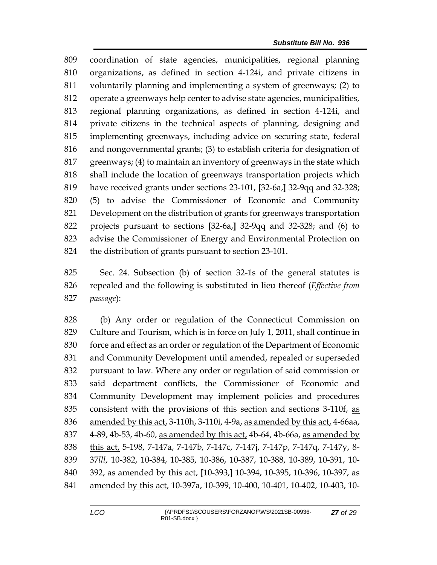coordination of state agencies, municipalities, regional planning organizations, as defined in section 4-124i, and private citizens in voluntarily planning and implementing a system of greenways; (2) to operate a greenways help center to advise state agencies, municipalities, regional planning organizations, as defined in section 4-124i, and private citizens in the technical aspects of planning, designing and implementing greenways, including advice on securing state, federal and nongovernmental grants; (3) to establish criteria for designation of greenways; (4) to maintain an inventory of greenways in the state which shall include the location of greenways transportation projects which have received grants under sections 23-101, **[**32-6a,**]** 32-9qq and 32-328; (5) to advise the Commissioner of Economic and Community Development on the distribution of grants for greenways transportation projects pursuant to sections **[**32-6a,**]** 32-9qq and 32-328; and (6) to advise the Commissioner of Energy and Environmental Protection on the distribution of grants pursuant to section 23-101.

 Sec. 24. Subsection (b) of section 32-1s of the general statutes is repealed and the following is substituted in lieu thereof (*Effective from passage*):

 (b) Any order or regulation of the Connecticut Commission on Culture and Tourism, which is in force on July 1, 2011, shall continue in force and effect as an order or regulation of the Department of Economic and Community Development until amended, repealed or superseded pursuant to law. Where any order or regulation of said commission or said department conflicts, the Commissioner of Economic and Community Development may implement policies and procedures consistent with the provisions of this section and sections 3-110f, as amended by this act, 3-110h, 3-110i, 4-9a, as amended by this act, 4-66aa, 4-89, 4b-53, 4b-60, as amended by this act, 4b-64, 4b-66a, as amended by this act, 5-198, 7-147a, 7-147b, 7-147c, 7-147j, 7-147p, 7-147q, 7-147y, 8- 37*lll*, 10-382, 10-384, 10-385, 10-386, 10-387, 10-388, 10-389, 10-391, 10- 392, as amended by this act, **[**10-393,**]** 10-394, 10-395, 10-396, 10-397, as amended by this act, 10-397a, 10-399, 10-400, 10-401, 10-402, 10-403, 10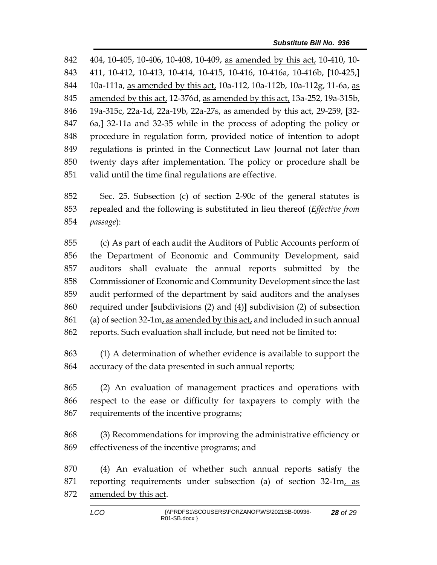404, 10-405, 10-406, 10-408, 10-409, as amended by this act, 10-410, 10- 411, 10-412, 10-413, 10-414, 10-415, 10-416, 10-416a, 10-416b, **[**10-425,**]** 10a-111a, as amended by this act, 10a-112, 10a-112b, 10a-112g, 11-6a, as amended by this act, 12-376d, as amended by this act, 13a-252, 19a-315b, 19a-315c, 22a-1d, 22a-19b, 22a-27s, as amended by this act, 29-259, **[**32- 6a,**]** 32-11a and 32-35 while in the process of adopting the policy or procedure in regulation form, provided notice of intention to adopt regulations is printed in the Connecticut Law Journal not later than twenty days after implementation. The policy or procedure shall be valid until the time final regulations are effective.

 Sec. 25. Subsection (c) of section 2-90c of the general statutes is repealed and the following is substituted in lieu thereof (*Effective from passage*):

 (c) As part of each audit the Auditors of Public Accounts perform of the Department of Economic and Community Development, said auditors shall evaluate the annual reports submitted by the Commissioner of Economic and Community Development since the last audit performed of the department by said auditors and the analyses required under **[**subdivisions (2) and (4)**]** subdivision (2) of subsection 861 (a) of section 32-1m, as amended by this act, and included in such annual reports. Such evaluation shall include, but need not be limited to:

 (1) A determination of whether evidence is available to support the accuracy of the data presented in such annual reports;

 (2) An evaluation of management practices and operations with respect to the ease or difficulty for taxpayers to comply with the requirements of the incentive programs;

 (3) Recommendations for improving the administrative efficiency or effectiveness of the incentive programs; and

 (4) An evaluation of whether such annual reports satisfy the reporting requirements under subsection (a) of section 32-1m, as amended by this act.